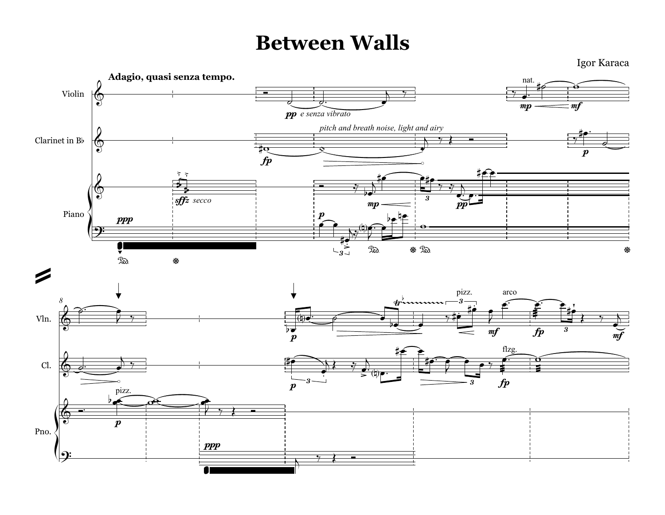## **Between Walls**

Igor Karaca

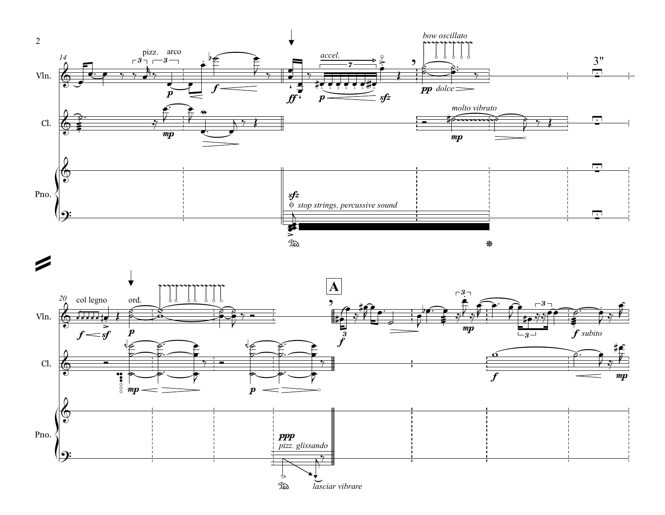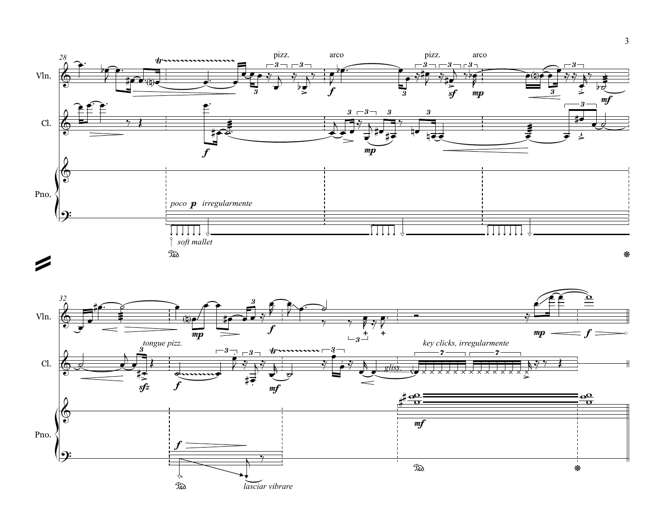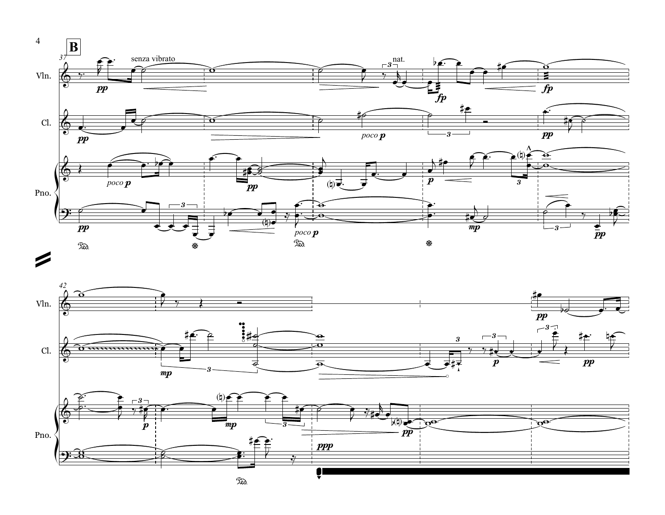

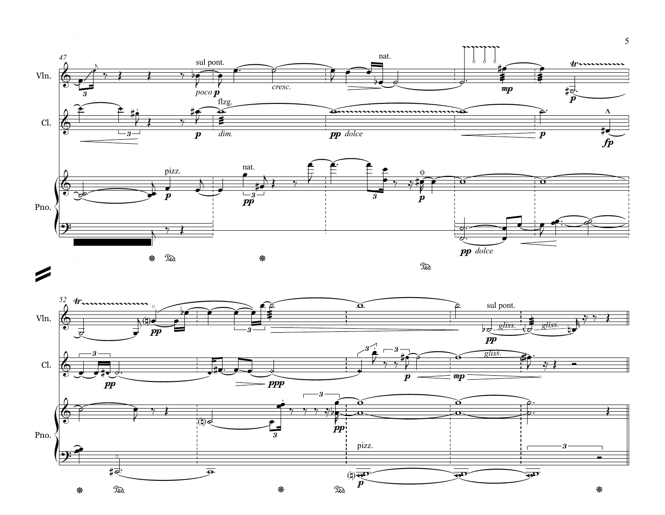

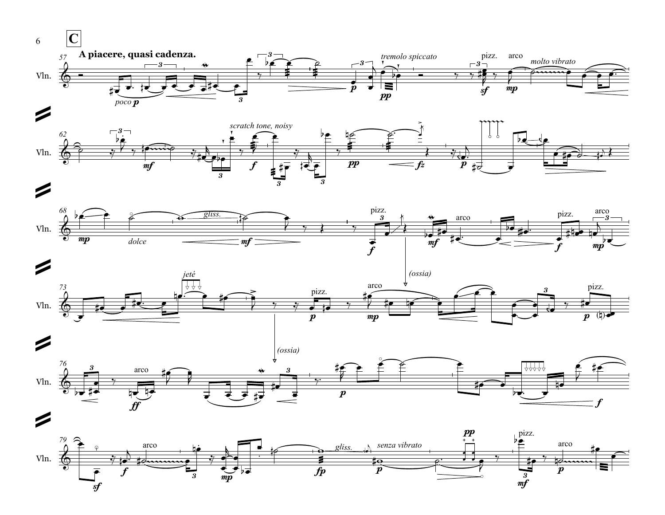









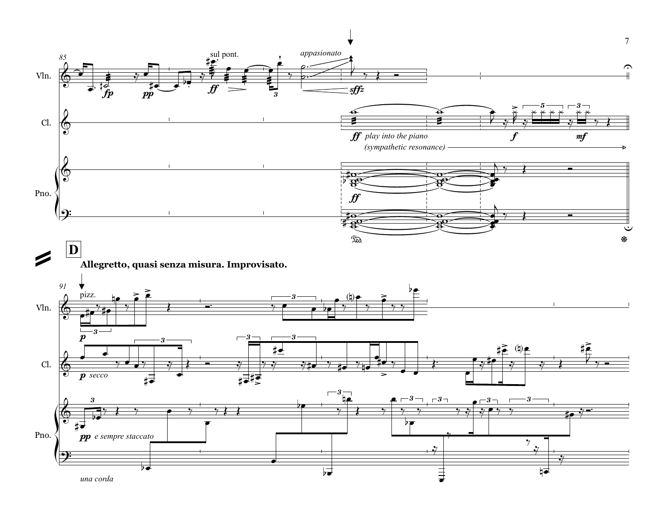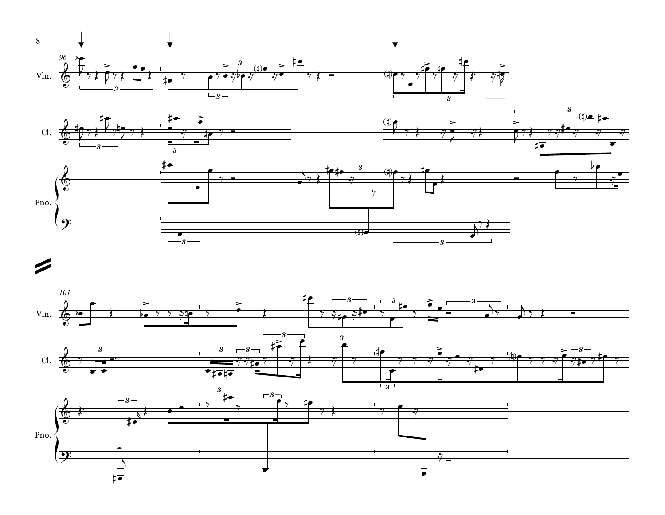